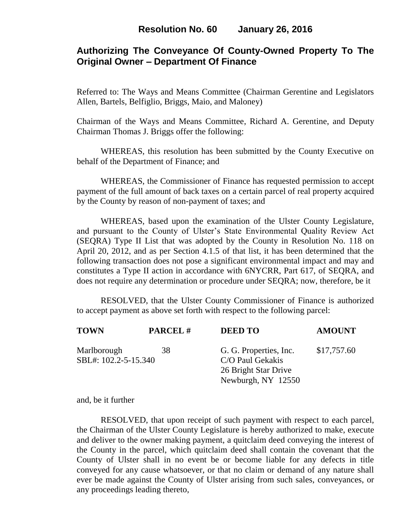# **Authorizing The Conveyance Of County-Owned Property To The Original Owner – Department Of Finance**

Referred to: The Ways and Means Committee (Chairman Gerentine and Legislators Allen, Bartels, Belfiglio, Briggs, Maio, and Maloney)

Chairman of the Ways and Means Committee, Richard A. Gerentine, and Deputy Chairman Thomas J. Briggs offer the following:

WHEREAS, this resolution has been submitted by the County Executive on behalf of the Department of Finance; and

 WHEREAS, the Commissioner of Finance has requested permission to accept payment of the full amount of back taxes on a certain parcel of real property acquired by the County by reason of non-payment of taxes; and

WHEREAS, based upon the examination of the Ulster County Legislature, and pursuant to the County of Ulster's State Environmental Quality Review Act (SEQRA) Type II List that was adopted by the County in Resolution No. 118 on April 20, 2012, and as per Section 4.1.5 of that list, it has been determined that the following transaction does not pose a significant environmental impact and may and constitutes a Type II action in accordance with 6NYCRR, Part 617, of SEQRA, and does not require any determination or procedure under SEQRA; now, therefore, be it

 RESOLVED, that the Ulster County Commissioner of Finance is authorized to accept payment as above set forth with respect to the following parcel:

| <b>TOWN</b>          | <b>PARCEL#</b> | <b>DEED TO</b>         | <b>AMOUNT</b> |
|----------------------|----------------|------------------------|---------------|
| Marlborough          | 38             | G. G. Properties, Inc. | \$17,757.60   |
| SBL#: 102.2-5-15.340 |                | C/O Paul Gekakis       |               |
|                      |                | 26 Bright Star Drive   |               |
|                      |                | Newburgh, NY 12550     |               |

and, be it further

RESOLVED, that upon receipt of such payment with respect to each parcel, the Chairman of the Ulster County Legislature is hereby authorized to make, execute and deliver to the owner making payment, a quitclaim deed conveying the interest of the County in the parcel, which quitclaim deed shall contain the covenant that the County of Ulster shall in no event be or become liable for any defects in title conveyed for any cause whatsoever, or that no claim or demand of any nature shall ever be made against the County of Ulster arising from such sales, conveyances, or any proceedings leading thereto,